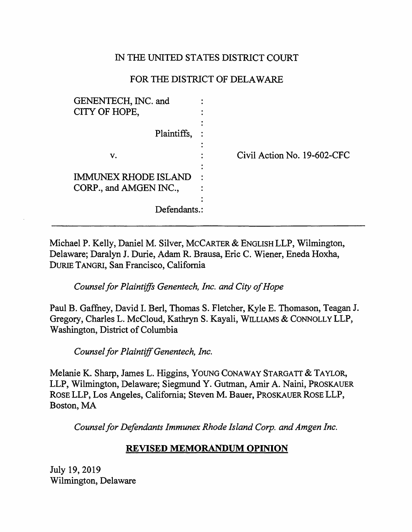# IN THE UNITED STATES DISTRICT COURT

## FOR THE DISTRICT OF DELAWARE

| GENENTECH, INC. and         |                             |
|-----------------------------|-----------------------------|
| CITY OF HOPE,               |                             |
|                             |                             |
| Plaintiffs,                 |                             |
|                             |                             |
| v.                          | Civil Action No. 19-602-CFC |
|                             |                             |
| <b>IMMUNEX RHODE ISLAND</b> |                             |
| CORP., and AMGEN INC.,      |                             |
|                             |                             |
| Defendants.:                |                             |
|                             |                             |

Michael P. Kelly, Daniel M. Silver, MCCARTER & ENGLISH LLP, Wilmington, Delaware; Daralyn J. Durie, Adam R. Brausa, Eric C. Wiener, Eneda Hoxha, DURIE TANGRI, San Francisco, California

*Counsel for Plaintiffs Genentech, Inc. and City of Hope* 

Paul B. Gaffney, David I. Berl, Thomas S. Fletcher, Kyle E. Thomason, Teagan J. Gregory, Charles L. McCloud, Kathryn S. Kayali, WILLIAMS & CONNOLLY LLP, Washington, District of Columbia

*Counsel for Plaintiff Genentech, Inc.* 

Melanie K. Sharp, James L. Higgins, YOUNG CONAWAY STARGATT & TAYLOR, LLP, Wilmington, Delaware; Siegmund Y. Gutman, Amir A. Naini, PROSKAUER ROSE LLP, Los Angeles, California; Steven M. Bauer, PROSKAUER ROSE LLP, Boston, MA

*Counsel for Defendants Immunex Rhode Island Corp. and Amgen Inc.* 

# **REVISED MEMORANDUM OPINION**

July 19, 2019 Wilmington, Delaware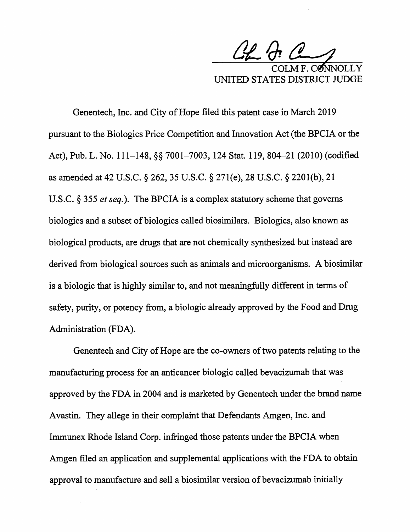$Q_+Q_+$ 

UNITED STATES DISTRICT JUDGE

Genentech, Inc. and City of Hope filed this patent case in March 2019 pursuant to the Biologics Price Competition and Innovation Act (the BPCIA or the Act), Pub. L. No. 111-148, §§ 7001-7003, 124 Stat. 119, 804-21 (2010) (codified as amended at 42 U.S.C. § 262, 35 U.S.C. § 271(e), 28 U.S.C. § 2201(b), 21 U.S.C. § 355 *et seq.).* The BPCIA is a complex statutory scheme that governs biologics and a subset of biologics called biosimilars. Biologics, also known as biological products, are drugs that are not chemically synthesized but instead are derived from biological sources such as animals and microorganisms. A biosimilar is a biologic that is highly similar to, and not meaningfully different in terms of safety, purity, or potency from, a biologic already approved by the Food and Drug Administration (FDA).

Genentech and City of Hope are the co-owners of two patents relating to the manufacturing process for an anticancer biologic called bevacizumab that was approved by the FDA in 2004 and is marketed by Genentech under the brand name Avastin. They allege in their complaint that Defendants Amgen, Inc. and Immunex Rhode Island Corp. infringed those patents under the BPCIA when Amgen filed an application and supplemental applications with the FDA to obtain approval to manufacture and sell a biosimilar version of bevacizumab initially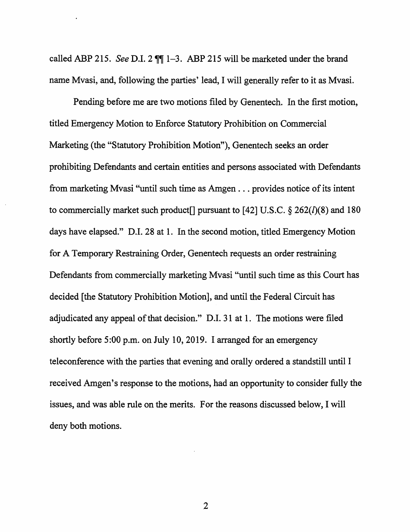called ABP 215. *See* D.I. 2  $\mathbb{I}$  1-3. ABP 215 will be marketed under the brand name Mvasi, and, following the parties' lead, I will generally refer to it as Mvasi.

Pending before me are two motions filed by Genentech. In the first motion, titled Emergency Motion to Enforce Statutory Prohibition on Commercial Marketing (the "Statutory Prohibition Motion"), Genentech seeks an order prohibiting Defendants and certain entities and persons associated with Defendants from marketing Mvasi "until such time as Amgen ... provides notice of its intent to commercially market such product [] pursuant to  $[42]$  U.S.C. § 262( $l$ )(8) and 180 days have elapsed." D.I. 28 at 1. In the second motion, titled Emergency Motion for A Temporary Restraining Order, Genentech requests an order restraining Defendants from commercially marketing Mvasi "until such time as this Court has decided [the Statutory Prohibition Motion], and until the Federal Circuit has adjudicated any appeal of that decision." D.I. 31 at 1. The motions were filed shortly before 5:00 p.m. on July 10, 2019. I arranged for an emergency teleconference with the parties that evening and orally ordered a standstill until I received Amgen's response to the motions, had an opportunity to consider fully the issues, and was able rule on the merits. For the reasons discussed below, I will deny both motions.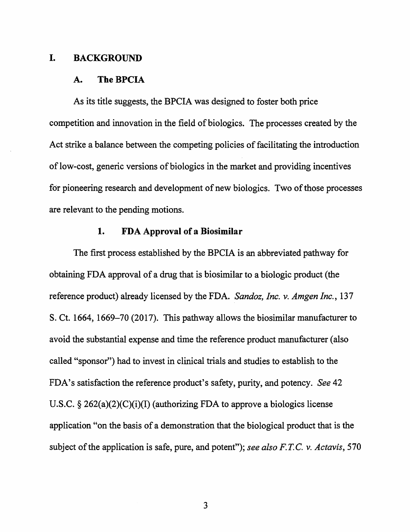### I. **BACKGROUND**

### **A. TheBPCIA**

As its title suggests, the BPCIA was designed to foster both price competition and innovation in the field of biologics. The processes created by the Act strike a balance between the competing policies of facilitating the introduction of low-cost, generic versions of biologics in the market and providing incentives for pioneering research and development of new biologics. Two of those processes are relevant to the pending motions.

## **1. FDA Approval of a Biosimilar**

The first process established by the BPCIA is an abbreviated pathway for obtaining FDA approval of a drug that is biosimilar to a biologic product (the reference product) already licensed by the FDA. *Sandoz, Inc. v. Amgen Inc.,* 137 S. Ct. 1664, 1669-70 (2017). This pathway allows the biosimilar manufacturer to avoid the substantial expense and time the reference product manufacturer ( also called "sponsor") had to invest in clinical trials and studies to establish to the FDA's satisfaction the reference product's safety, purity, and potency. *See* 42 U.S.C. § 262(a)(2)(C)(i)(I) (authorizing FDA to approve a biologics license application "on the basis of a demonstration that the biological product that is the subject of the application is safe, pure, and potent"); *see also F.T.C. v. Actavis,* 570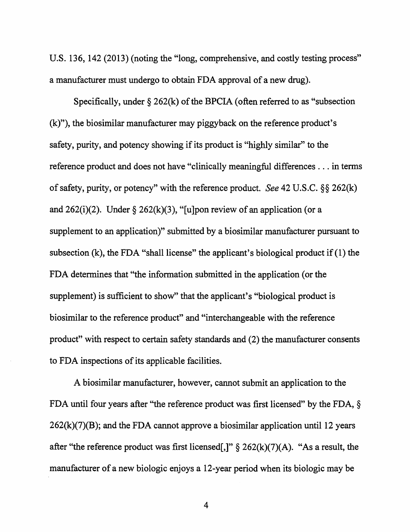U.S. 136, 142 (2013) (noting the "long, comprehensive, and costly testing process" a manufacturer must undergo to obtain FDA approval of a new drug).

Specifically, under  $\S 262(k)$  of the BPCIA (often referred to as "subsection (k)"), the biosimilar manufacturer may piggyback on the reference product's safety, purity, and potency showing if its product is "highly similar" to the reference product and does not have "clinically meaningful differences ... in terms of safety, purity, or potency" with the reference product. *See* 42 U.S.C. §§ 262(k) and  $262(i)(2)$ . Under §  $262(k)(3)$ , "[u]pon review of an application (or a supplement to an application)" submitted by a biosimilar manufacturer pursuant to subsection (k), the FDA "shall license" the applicant's biological product if (1) the FDA determines that "the information submitted in the application ( or the supplement) is sufficient to show'' that the applicant's "biological product is biosimilar to the reference product" and "interchangeable with the reference product" with respect to certain safety standards and (2) the manufacturer consents to FDA inspections of its applicable facilities.

A biosimilar manufacturer, however, cannot submit an application to the FDA until four years after "the reference product was first licensed" by the FDA,§  $262(k)(7)(B)$ ; and the FDA cannot approve a biosimilar application until 12 years after "the reference product was first licensed[,]"  $\S$  262(k)(7)(A). "As a result, the manufacturer of a new biologic enjoys a 12-year period when its biologic may be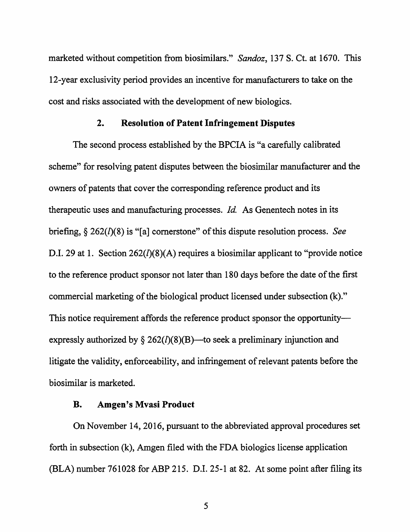marketed without competition from biosimilars." *Sandoz,* 137 S. Ct. at 1670. This 12-year exclusivity period provides an incentive for manufacturers to take on the cost and risks associated with the development of new biologics.

### **2. Resolution of Patent Infringement Disputes**

The second process established by the BPCIA is "a carefully calibrated scheme" for resolving patent disputes between the biosimilar manufacturer and the owners of patents that cover the corresponding reference product and its therapeutic uses and manufacturing processes. *Id*. As Genentech notes in its briefing, § 262( /)(8) is "[a] cornerstone" of this dispute resolution process. *See*  D.I. 29 at 1. Section  $262(I)(8)(A)$  requires a biosimilar applicant to "provide notice" to the reference product sponsor not later than 180 days before the date of the first commercial marketing of the biological product licensed under subsection (k)." This notice requirement affords the reference product sponsor the opportunityexpressly authorized by  $\S 262(I)(8)(B)$ —to seek a preliminary injunction and litigate the validity, enforceability, and infringement of relevant patents before the biosimilar is marketed.

## **B. Amgen's Mvasi Product**

On November 14, 2016, pursuant to the abbreviated approval procedures set forth in subsection (k), Amgen filed with the FDA biologics license application (BLA) number 761028 for ABP 215. D.I. 25-1 at 82. At some point after filing its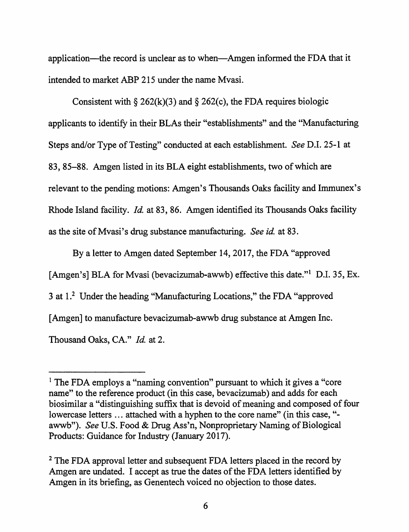application—the record is unclear as to when—Amgen informed the FDA that it intended to market ABP 215 under the name Mvasi.

Consistent with  $\S 262(k)(3)$  and  $\S 262(c)$ , the FDA requires biologic applicants to identify in their BLAs their "establishments" and the "Manufacturing Steps and/or Type of Testing" conducted at each establishment. *See* D.I. 25-1 at 83, 85-88. Amgen listed in its BLA eight establishments, two of which are relevant to the pending motions: Amgen's Thousands Oaks facility and Immunex's Rhode Island facility. *Id.* at 83, 86. Amgen identified its Thousands Oaks facility as the site of Mvasi' s drug substance manufacturing. *See id.* at 83.

By a letter to Amgen dated September 14, 2017, the FDA "approved [Amgen's] BLA for Mvasi (bevacizumab-awwb) effective this date."<sup>1</sup> D.I. 35, Ex. 3 at 1.2 Under the heading "Manufacturing Locations," the FDA "approved [Amgen] to manufacture bevacizumab-awwb drug substance at Amgen Inc. Thousand Oaks, CA." *Id.* at 2.

<sup>&</sup>lt;sup>1</sup> The FDA employs a "naming convention" pursuant to which it gives a "core" name" to the reference product (in this case, bevacizumab) and adds for each biosimilar a "distinguishing suffix that is devoid of meaning and composed of four lowercase letters ... attached with a hyphen to the core name" (in this case, " awwb"). *See* U.S. Food & Drug Ass'n, Nonproprietary Naming of Biological Products: Guidance for Industry (January 2017).

<sup>&</sup>lt;sup>2</sup> The FDA approval letter and subsequent FDA letters placed in the record by Amgen are undated. I accept as true the dates of the FDA letters identified by Amgen in its briefing, as Genentech voiced no objection to those dates.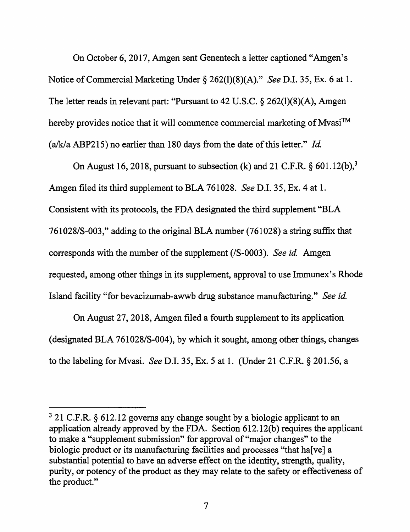On October 6, 2017, Amgen sent Genentech a letter captioned "Amgen's Notice of Commercial Marketing Under§ 262(1)(8)(A)." *See* D.I. 35, Ex. 6 at 1. The letter reads in relevant part: "Pursuant to 42 U.S.C. § 262(1)(8)(A), Amgen hereby provides notice that it will commence commercial marketing of Mvasi<sup>TM</sup> (a/k/a ABP215) no earlier than 180 days from the date of this letter." *Id.* 

On August 16, 2018, pursuant to subsection (k) and 21 C.F.R.  $\S 601.12(b)$ ,<sup>3</sup> Amgen filed its third supplement to BLA 761028. *See* D.I. 35, Ex. 4 at 1. Consistent with its protocols, the FDA designated the third supplement "BLA 761028/S-003," adding to the original BLA number (761028) a string suffix that corresponds with the number of the supplement (/S-0003). *See id.* Amgen requested, among other things in its supplement, approval to use Immunex's Rhode Island facility "for bevacizumab-awwb drug substance manufacturing." *See id.* 

On August 27, 2018, Amgen filed a fourth supplement to its application (designated BLA 761028/S-004), by which it sought, among other things, changes to the labeling for Mvasi. *See* D.I. 35, Ex. 5 at 1. (Under 21 C.F.R. § 201.56, a

 $3$  21 C.F.R. § 612.12 governs any change sought by a biologic applicant to an application already approved by the FDA. Section 612.12(b) requires the applicant to make a "supplement submission" for approval of"major changes" to the biologic product or its manufacturing facilities and processes "that halvel a substantial potential to have an adverse effect on the identity, strength, quality, purity, or potency of the product as they may relate to the safety or effectiveness of the product."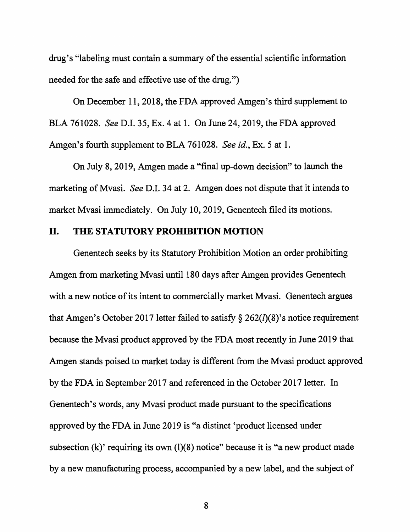drug's "labeling must contain a summary of the essential scientific information needed for the safe and effective use of the drug.")

On December 11, 2018, the FDA approved Amgen's third supplement to BLA 761028. *See* D.I. 35, Ex. 4 at 1. On June 24, 2019, the FDA approved Amgen's fourth supplement to BLA 761028. *See id.,* Ex. 5 at 1.

On July 8, 2019, Amgen made a "final up-down decision" to launch the marketing of Mvasi. *See D.I.* 34 at 2. Amgen does not dispute that it intends to market Mvasi immediately. On July 10, 2019, Genentech filed its motions.

## II. **THE STATUTORY PROHIBITION MOTION**

Genentech seeks by its Statutory Prohibition Motion an order prohibiting Amgen from marketing Mvasi until 180 days after Amgen provides Genentech with a new notice of its intent to commercially market Mvasi. Genentech argues that Amgen's October 2017 letter failed to satisfy  $\S$  262( $l$ )(8)'s notice requirement because the Mvasi product approved by the FDA most recently in June 2019 that Amgen stands poised to market today is different from the Mvasi product approved by the FDA in September 2017 and referenced in the October 2017 letter. In Genentech's words, any Mvasi product made pursuant to the specifications approved by the FDA in June 2019 is "a distinct 'product licensed under subsection (k)' requiring its own (l)(8) notice" because it is "a new product made by a new manufacturing process, accompanied by a new label, and the subject of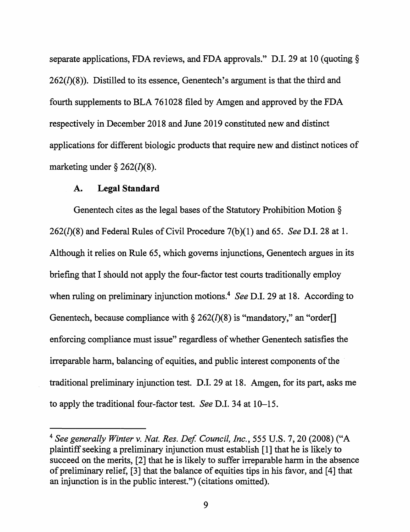separate applications, FDA reviews, and FDA approvals." D.I. 29 at 10 (quoting  $\S$ )  $262(I)(8)$ ). Distilled to its essence, Genentech's argument is that the third and fourth supplements to BLA 761028 filed by Amgen and approved by the FDA respectively in December 2018 and June 2019 constituted new and distinct applications for different biologic products that require new and distinct notices of marketing under § 262 $(l)(8)$ .

### **A. Legal Standard**

Genentech cites as the legal bases of the Statutory Prohibition Motion §  $262(I)(8)$  and Federal Rules of Civil Procedure  $7(b)(1)$  and 65. *See* D.I. 28 at 1. Although it relies on Rule 65, which governs injunctions, Genentech argues in its briefing that I should not apply the four-factor test courts traditionally employ when ruling on preliminary injunction motions.4 *See* D.I. 29 at 18. According to Genentech, because compliance with  $\S 262(I)(8)$  is "mandatory," an "order. enforcing compliance must issue" regardless of whether Genentech satisfies the irreparable harm, balancing of equities, and public interest components of the traditional preliminary injunction test. D.I. 29 at 18. Amgen, for its part, asks me to apply the traditional four-factor test. *See* D.I. 34 at 10-15.

<sup>&</sup>lt;sup>4</sup> See generally Winter v. Nat. Res. Def. Council, Inc., 555 U.S. 7, 20 (2008) ("A plaintiff seeking a preliminary injunction must establish [1] that he is likely to succeed on the merits, [2] that he is likely to suffer irreparable harm in the absence of preliminary relief, [3] that the balance of equities tips in his favor, and [ 4] that an injunction is in the public interest.") ( citations omitted).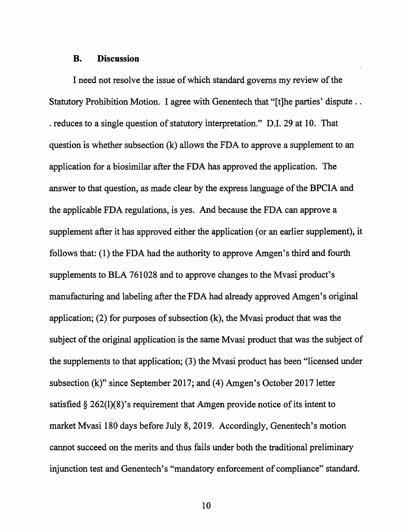### **B. Discussion**

I need not resolve the issue of which standard governs my review of the Statutory Prohibition Motion. I agree with Genentech that "[t]he parties' dispute .. . reduces to a single question of statutory interpretation." D.I. 29 at 10. That question is whether subsection (k) allows the FDA to approve a supplement to an application for a biosimilar after the FDA has approved the application. The answer to that question, as made clear by the express language of the BPCIA and the applicable FDA regulations, is yes. And because the FDA can approve a supplement after it has approved either the application ( or an earlier supplement), it follows that:  $(1)$  the FDA had the authority to approve Amgen's third and fourth supplements to BLA 761028 and to approve changes to the Mvasi product's manufacturing and labeling after the FDA had already approved Amgen's original application; (2) for purposes of subsection (k), the Mvasi product that was the subject of the original application is the same Mvasi product that was the subject of the supplements to that application; (3) the Mvasi product has been "licensed under subsection (k)" since September 2017; and (4) Amgen's October 2017 letter satisfied  $\S 262(1)(8)$ 's requirement that Amgen provide notice of its intent to market Mvasi 180 days before July 8, 2019. Accordingly, Genentech's motion cannot succeed on the merits and thus fails under both the traditional preliminary injunction test and Genentech's "mandatory enforcement of compliance" standard.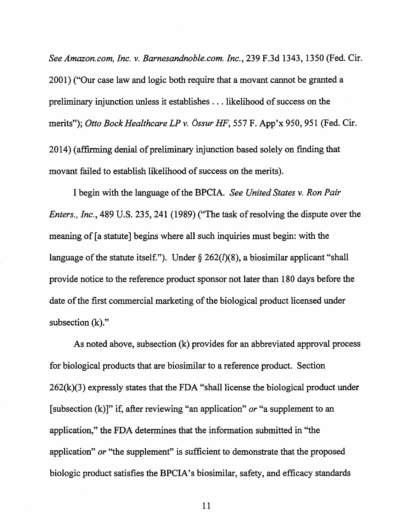*See Amazon.com, Inc. v. Barnesandnoble.com. Inc.,* 239 F.3d 1343, 1350 (Fed. Cir. 2001) ("Our case law and logic both require that a movant cannot be granted a preliminary injunction unless it establishes ... likelihood of success on the merits"); *Otto Bock Healthcare LP v. Ossur HF,* 557 F. App'x 950,951 (Fed. Cir. 2014) ( affirming denial of preliminary injunction based solely on finding that

movant failed to establish likelihood of success on the merits).

I begin with the language of the BPCIA. *See United States v. Ron Pair Enters., Inc.*, 489 U.S. 235, 241 (1989) ("The task of resolving the dispute over the meaning of [a statute] begins where all such inquiries must begin: with the language of the statute itself."). Under  $\S 262(I)(8)$ , a biosimilar applicant "shall provide notice to the reference product sponsor not later than 180 days before the date of the first commercial marketing of the biological product licensed under subsection (k)."

As noted above, subsection (k) provides for an abbreviated approval process for biological products that are biosimilar to a reference product. Section 262(k)(3) expressly states that the FDA "shall license the biological product under [subsection (k)]" if, after reviewing "an application" *or* "a supplement to an application," the FDA determines that the information submitted in "the application" *or* "the supplement" is sufficient to demonstrate that the proposed biologic product satisfies the BPCIA's biosimilar, safety, and efficacy standards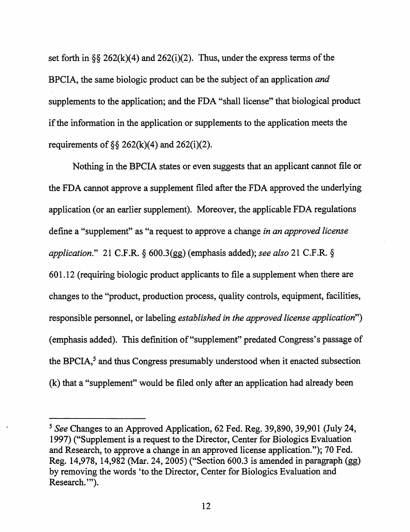set forth in  $\S$ § 262(k)(4) and 262(i)(2). Thus, under the express terms of the BPCIA, the same biologic product can be the subject of an application *and*  supplements to the application; and the FDA "shall license" that biological product if the information in the application or supplements to the application meets the requirements of  $\S$ § 262(k)(4) and 262(i)(2).

Nothing in the BPCIA states or even suggests that an applicant cannot file or the FDA cannot approve a supplement filed after the FDA approved the underlying application ( or an earlier supplement). Moreover, the applicable FDA regulations define a "supplement" as "a request to approve a change *in an approved license application."* 21 C.F.R. § 600.3(gg) (emphasis added); *see also* 21 C.F.R. § 601.12 (requiring biologic product applicants to file a supplement when there are changes to the "product, production process, quality controls, equipment, facilities, responsible personnel, or labeling *established in the approved license application")*  ( emphasis added). This definition of "supplement" predated Congress's passage of the BPCIA,<sup>5</sup> and thus Congress presumably understood when it enacted subsection (k) that a "supplement" would be filed only after an application had already been

*<sup>5</sup> See* Changes to an Approved Application, 62 Fed. Reg. 39,890, 39,901 (July 24, 1997) ("Supplement is a request to the Director, Center for Biologics Evaluation and Research, to approve a change in an approved license application."); 70 Fed. Reg. 14,978, 14,982 (Mar. 24, 2005) ("Section 600.3 is amended in paragraph (gg) by removing the words 'to the Director, Center for Biologics Evaluation and Research."').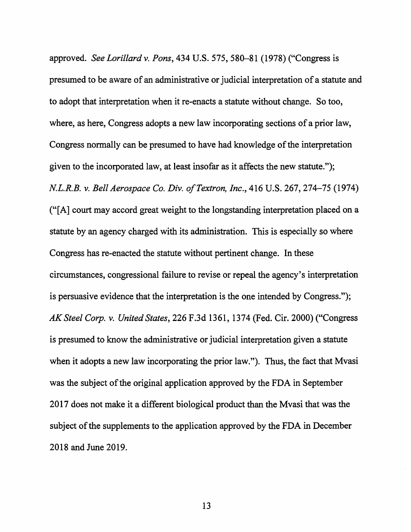approved. *See Lorillard v. Pons,* 434 U.S. 575, 580-81 (1978) ("Congress is presumed to be aware of an administrative or judicial interpretation of a statute and to adopt that interpretation when it re-enacts a statute without change. So too, where, as here, Congress adopts a new law incorporating sections of a prior law, Congress normally can be presumed to have had knowledge of the interpretation given to the incorporated law, at least insofar as it affects the new statute."); *N.L.R.B. v. Bell Aerospace Co. Div. of Textron, Inc.,* 416 U.S. 267, 274-75 (1974) ("[A] court may accord great weight to the longstanding interpretation placed on a statute by an agency charged with its administration. This is especially so where Congress has re-enacted the statute without pertinent change. In these circumstances, congressional failure to revise or repeal the agency's interpretation is persuasive evidence that the interpretation is the one intended by Congress."); *AK Steel Corp. v. United States,* 226 F.3d 1361, 1374 (Fed. Cir. 2000) ("Congress is presumed to know the administrative or judicial interpretation given a statute when it adopts a new law incorporating the prior law."). Thus, the fact that Mvasi was the subject of the original application approved by the FDA in September 2017 does not make it a different biological product than the Mvasi that was the subject of the supplements to the application approved by the FDA in December 2018 and June 2019.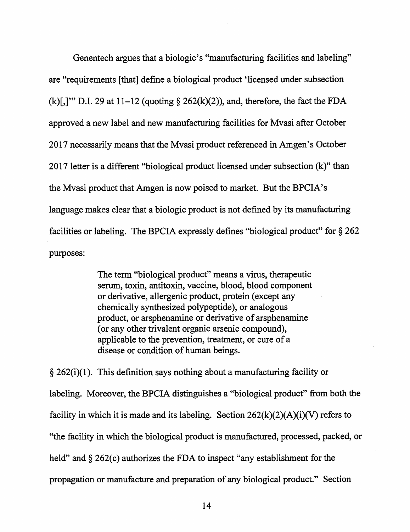Genentech argues that a biologic's "manufacturing facilities and labeling" are "requirements [that] define a biological product 'licensed under subsection (k)[,]"' D.I. 29 at  $11-12$  (quoting  $\delta$  262(k)(2)), and, therefore, the fact the FDA approved a new label and new manufacturing facilities for Mvasi after October 2017 necessarily means that the Mvasi product referenced in Amgen's October 2017 letter is a different "biological product licensed under subsection (k)" than the Mvasi product that Amgen is now poised to market. But the BPCIA's language makes clear that a biologic product is not defined by its manufacturing facilities or labeling. The BPCIA expressly defines "biological product" for § 262 purposes:

> The term "biological product" means a virus, therapeutic serum, toxin, antitoxin, vaccine, blood, blood component or derivative, allergenic product, protein (except any chemically synthesized polypeptide), or analogous product, or arsphenamine or derivative of arsphenamine ( or any other trivalent organic arsenic compound), applicable to the prevention, treatment, or cure of a disease or condition of human beings.

 $\S 262(i)(1)$ . This definition says nothing about a manufacturing facility or labeling. Moreover, the BPCIA distinguishes a "biological product" from both the facility in which it is made and its labeling. Section  $262(k)(2)(A)(i)(V)$  refers to "the facility in which the biological product is manufactured, processed, packed, or held" and  $\S 262(c)$  authorizes the FDA to inspect "any establishment for the propagation or manufacture and preparation of any biological product." Section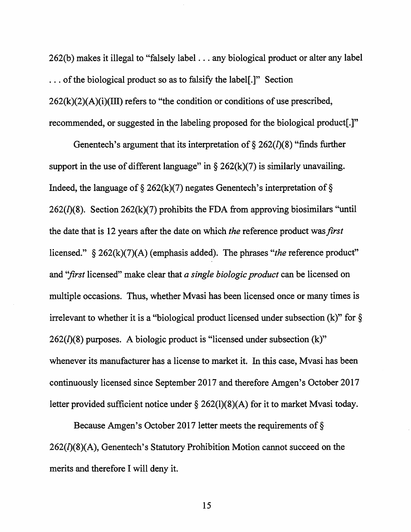262(b) makes it illegal to "falsely label ... any biological product or alter any label ... of the biological product so as to falsify the label[.]" Section  $262(k)(2)(A)(i)(III)$  refers to "the condition or conditions of use prescribed, recommended, or suggested in the labeling proposed for the biological product[.]"

Genentech's argument that its interpretation of  $\S 262(I)(8)$  "finds further support in the use of different language" in  $\S 262(k)(7)$  is similarly unavailing. Indeed, the language of  $\S$  262(k)(7) negates Genentech's interpretation of  $\S$  $262(I)(8)$ . Section  $262(k)(7)$  prohibits the FDA from approving biosimilars "until the date that is 12 years after the date on which *the* reference product was *first*  licensed." § 262(k)(7)(A) ( emphasis added). The phrases *"the* reference product" and *''first* licensed" make clear that *a single biologic product* can be licensed on multiple occasions. Thus, whether Mvasi has been licensed once or many times is irrelevant to whether it is a "biological product licensed under subsection  $(k)$ " for  $\S$  $262(1)(8)$  purposes. A biologic product is "licensed under subsection  $(k)$ " whenever its manufacturer has a license to market it. In this case, Mvasi has been continuously licensed since September 2017 and therefore Amgen's October 2017 letter provided sufficient notice under§ 262(1)(8)(A) for it to market Mvasi today.

Because Amgen's October 2017 letter meets the requirements of§  $262(I)(8)(A)$ , Genentech's Statutory Prohibition Motion cannot succeed on the merits and therefore I will deny it.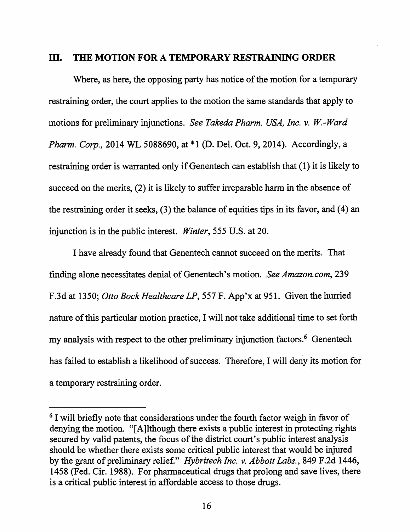### ill. **THE MOTION FOR A TEMPORARY RESTRAINING ORDER**

Where, as here, the opposing party has notice of the motion for a temporary restraining order, the court applies to the motion the same standards that apply to motions for preliminary injunctions. *See Takeda Pharm. USA, Inc. v. W.-Ward Pharm. Corp.,* 2014 WL 5088690, at \*1 (D. Del. Oct. 9, 2014). Accordingly, a restraining order is warranted only if Genentech can establish that ( 1) it is likely to succeed on the merits, (2) it is likely to suffer irreparable harm in the absence of the restraining order it seeks, (3) the balance of equities tips in its favor, and (4) an injunction is in the public interest. *Winter,* 555 U.S. at 20.

I have already found that Genentech cannot succeed on the merits. That finding alone necessitates denial of Genentech's motion. *See Amazon.com,* 239 F.3d at 1350; *Otto Bock Healthcare LP,* 557 F. App'x at 951. Given the hurried nature of this particular motion practice, I will not take additional time to set forth my analysis with respect to the other preliminary injunction factors.<sup>6</sup> Genentech has failed to establish a likelihood of success. Therefore, I will deny its motion for a temporary restraining order.

<sup>&</sup>lt;sup>6</sup> I will briefly note that considerations under the fourth factor weigh in favor of denying the motion. "[A]lthough there exists a public interest in protecting rights secured by valid patents, the focus of the district court's public interest analysis should be whether there exists some critical public interest that would be injured by the grant of preliminary relief." *Hybritech Inc. v. Abbott Labs.,* 849 F.2d 1446, 1458 (Fed. Cir. 1988). For pharmaceutical drugs that prolong and save lives, there is a critical public interest in affordable access to those drugs.